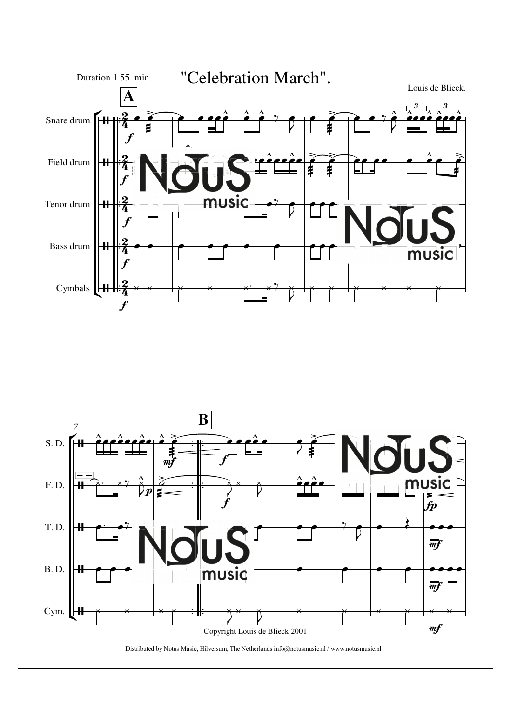



Distributed by Notus Music, Hilversum, The Netherlands info@notusmusic.nl / www.notusmusic.nl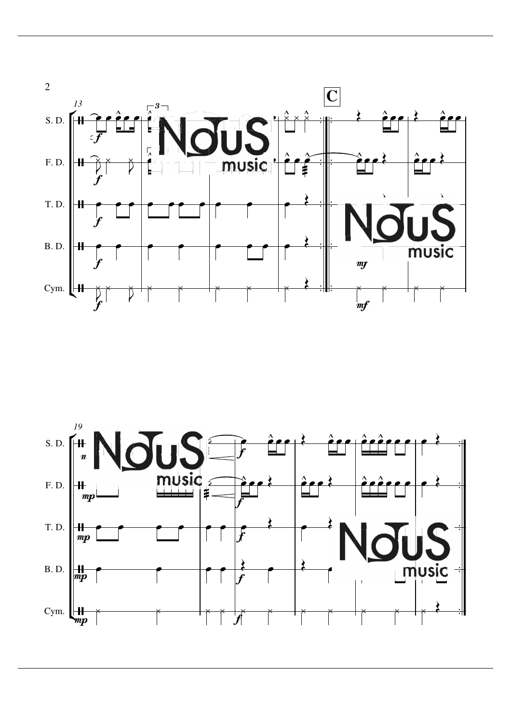

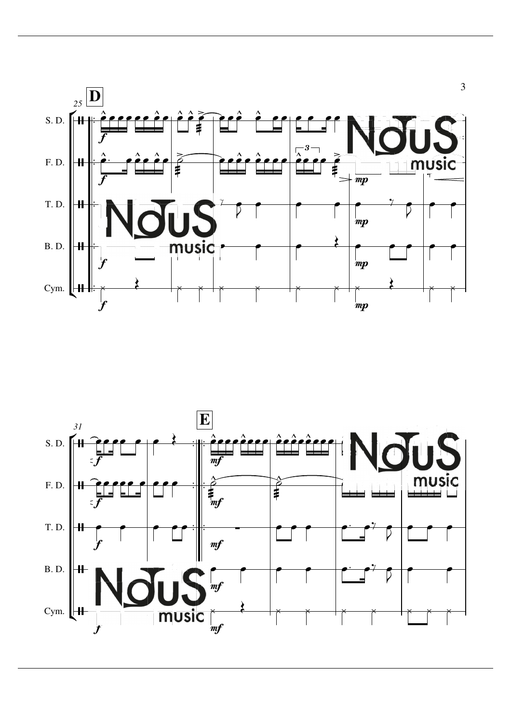